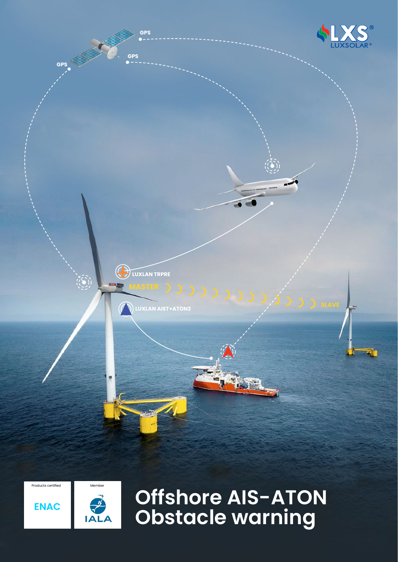

Products certified **Member** 





**Offshore AIS-ATON Obstacle warning**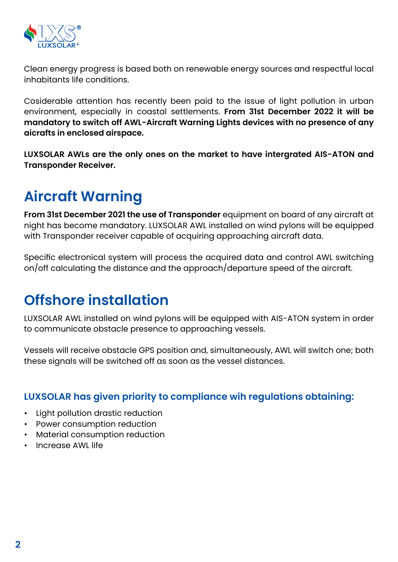

Clean energy progress is based both on renewable energy sources and respectful local inhabitants life conditions.

Cosiderable attention has recently been paid to the issue of light pollution in urban environment, especially in coastal settlements. **From 31st December 2022 it will be mandatory to switch off AWL-Aircraft Warning Lights devices with no presence of any aicrafts in enclosed airspace.**

**LUXSOLAR AWLs are the only ones on the market to have intergrated AIS-ATON and Transponder Receiver.**

# **Aircraft Warning**

**From 31st December 2021 the use of Transponder** equipment on board of any aircraft at night has become mandatory. LUXSOLAR AWL installed on wind pylons will be equipped with Transponder receiver capable of acquiring approaching aircraft data.

Specific electronical system will process the acquired data and control AWL switching on/off calculating the distance and the approach/departure speed of the aircraft.

## **Offshore installation**

LUXSOLAR AWL installed on wind pylons will be equipped with AIS-ATON system in order to communicate obstacle presence to approaching vessels.

Vessels will receive obstacle GPS position and, simultaneously, AWL will switch one; both these signals will be switched off as soon as the vessel distances.

#### **LUXSOLAR has given priority to compliance wih regulations obtaining:**

- Light pollution drastic reduction
- Power consumption reduction
- Material consumption reduction
- Increase AWL life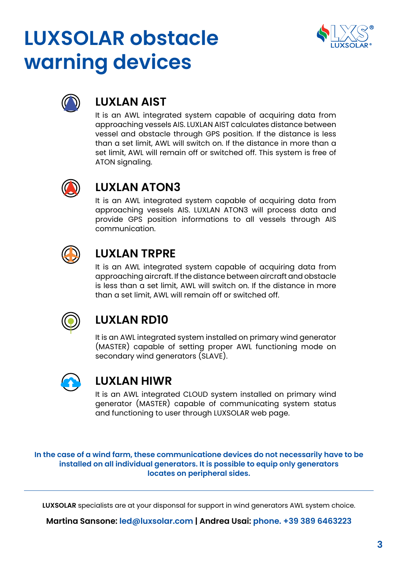# **LUXSOLAR obstacle warning devices**





#### **LUXLAN AIST**

It is an AWL integrated system capable of acquiring data from approaching vessels AIS. LUXLAN AIST calculates distance between vessel and obstacle through GPS position. If the distance is less than a set limit, AWL will switch on. If the distance in more than a set limit, AWL will remain off or switched off. This system is free of ATON signaling.



#### **LUXLAN ATON3**

It is an AWL integrated system capable of acquiring data from approaching vessels AIS. LUXLAN ATON3 will process data and provide GPS position informations to all vessels through AIS communication.



#### **LUXLAN TRPRE**

It is an AWL integrated system capable of acquiring data from approaching aircraft. If the distance between aircraft and obstacle is less than a set limit, AWL will switch on. If the distance in more than a set limit, AWL will remain off or switched off.



### **LUXLAN RD10**

It is an AWL integrated system installed on primary wind generator (MASTER) capable of setting proper AWL functioning mode on secondary wind generators (SLAVE).



#### **LUXLAN HIWR**

It is an AWL integrated CLOUD system installed on primary wind generator (MASTER) capable of communicating system status and functioning to user through LUXSOLAR web page.

**In the case of a wind farm, these communicatione devices do not necessarily have to be installed on all individual generators. It is possible to equip only generators locates on peripheral sides.**

**LUXSOLAR** specialists are at your disponsal for support in wind generators AWL system choice.

**Martina Sansone: led@luxsolar.com | Andrea Usai: phone. +39 389 6463223**